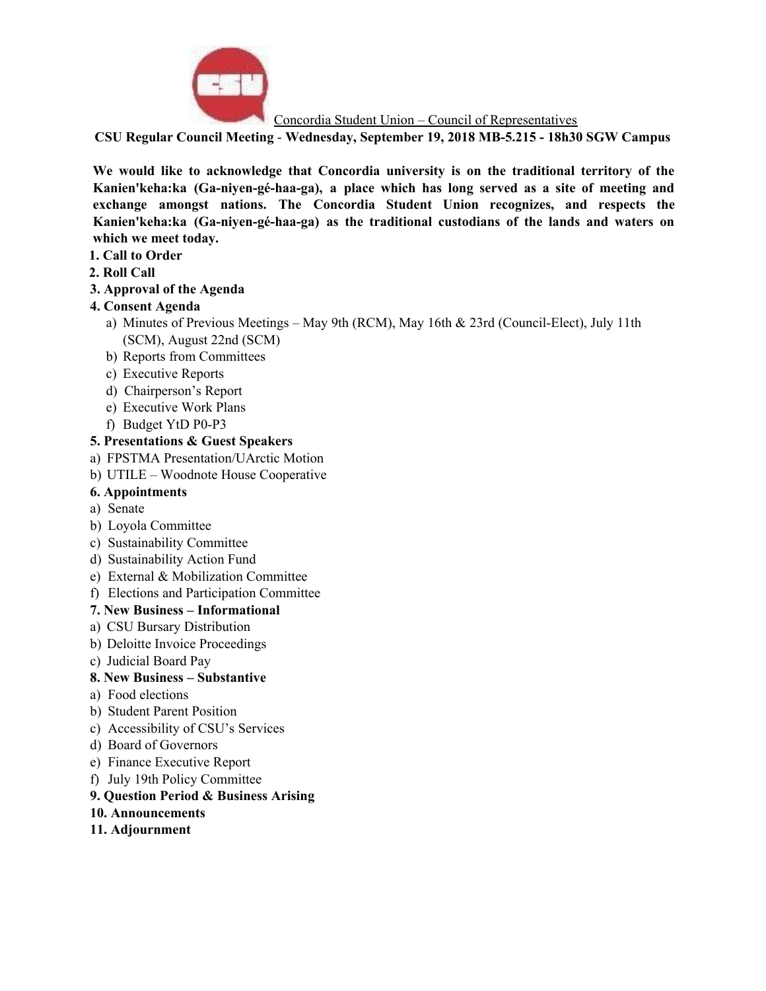

Concordia Student Union – Council of Representatives

**CSU Regular Council Meeting** - **Wednesday, September 19, 2018 MB-5.215 - 18h30 SGW Campus**

**We would like to acknowledge that Concordia university is on the traditional territory of the Kanien'keha:ka (Ga-niyen-gé-haa-ga), a place which has long served as a site of meeting and exchange amongst nations. The Concordia Student Union recognizes, and respects the Kanien'keha:ka (Ga-niyen-gé-haa-ga) as the traditional custodians of the lands and waters on which we meet today.**

- **1. Call to Order**
- **2. Roll Call**
- **3. Approval of the Agenda**

# **4. Consent Agenda**

- a) Minutes of Previous Meetings May 9th (RCM), May 16th & 23rd (Council-Elect), July 11th (SCM), August 22nd (SCM)
- b) Reports from Committees
- c) Executive Reports
- d) Chairperson's Report
- e) Executive Work Plans
- f) Budget YtD P0-P3

# **5. Presentations & Guest Speakers**

- a) FPSTMA Presentation/UArctic Motion
- b) UTILE Woodnote House Cooperative

### **6. Appointments**

- a) Senate
- b) Loyola Committee
- c) Sustainability Committee
- d) Sustainability Action Fund
- e) External & Mobilization Committee
- f) Elections and Participation Committee

# **7. New Business – Informational**

- a) CSU Bursary Distribution
- b) Deloitte Invoice Proceedings
- c) Judicial Board Pay

# **8. New Business – Substantive**

- a) Food elections
- b) Student Parent Position
- c) Accessibility of CSU's Services
- d) Board of Governors
- e) Finance Executive Report
- f) July 19th Policy Committee

# **9. Question Period & Business Arising**

- **10. Announcements**
- **11. Adjournment**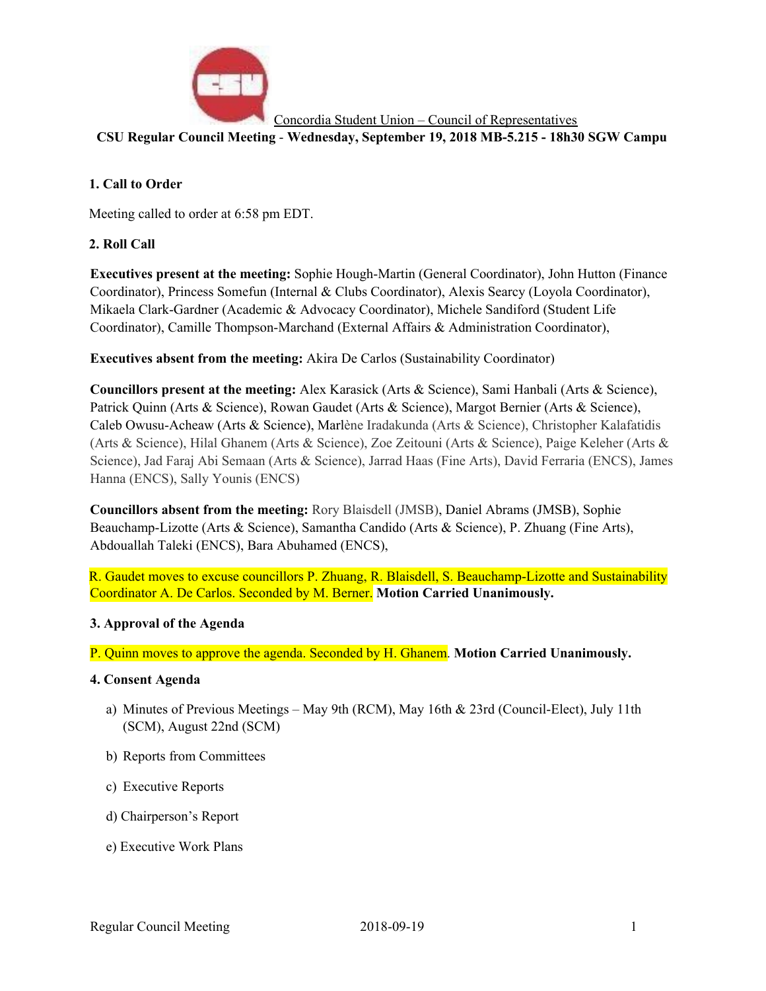

Concordia Student Union – Council of Representatives

**CSU Regular Council Meeting** - **Wednesday, September 19, 2018 MB-5.215 - 18h30 SGW Campu**

# **1. Call to Order**

Meeting called to order at 6:58 pm EDT.

# **2. Roll Call**

**Executives present at the meeting:** Sophie Hough-Martin (General Coordinator), John Hutton (Finance Coordinator), Princess Somefun (Internal & Clubs Coordinator), Alexis Searcy (Loyola Coordinator), Mikaela Clark-Gardner (Academic & Advocacy Coordinator), Michele Sandiford (Student Life Coordinator), Camille Thompson-Marchand (External Affairs & Administration Coordinator),

**Executives absent from the meeting:** Akira De Carlos (Sustainability Coordinator)

**Councillors present at the meeting:** Alex Karasick (Arts & Science), Sami Hanbali (Arts & Science), Patrick Quinn (Arts & Science), Rowan Gaudet (Arts & Science), Margot Bernier (Arts & Science), Caleb Owusu-Acheaw (Arts & Science), Marlène Iradakunda (Arts & Science), Christopher Kalafatidis (Arts & Science), Hilal Ghanem (Arts & Science), Zoe Zeitouni (Arts & Science), Paige Keleher (Arts & Science), Jad Faraj Abi Semaan (Arts & Science), Jarrad Haas (Fine Arts), David Ferraria (ENCS), James Hanna (ENCS), Sally Younis (ENCS)

**Councillors absent from the meeting:** Rory Blaisdell (JMSB), Daniel Abrams (JMSB), Sophie Beauchamp-Lizotte (Arts & Science), Samantha Candido (Arts & Science), P. Zhuang (Fine Arts), Abdouallah Taleki (ENCS), Bara Abuhamed (ENCS),

R. Gaudet moves to excuse councillors P. Zhuang, R. Blaisdell, S. Beauchamp-Lizotte and Sustainability Coordinator A. De Carlos. Seconded by M. Berner. **Motion Carried Unanimously.**

# **3. Approval of the Agenda**

P. Quinn moves to approve the agenda. Seconded by H. Ghanem. **Motion Carried Unanimously.**

### **4. Consent Agenda**

- a) Minutes of Previous Meetings May 9th (RCM), May 16th & 23rd (Council-Elect), July 11th (SCM), August 22nd (SCM)
- b) Reports from Committees
- c) Executive Reports
- d) Chairperson's Report
- e) Executive Work Plans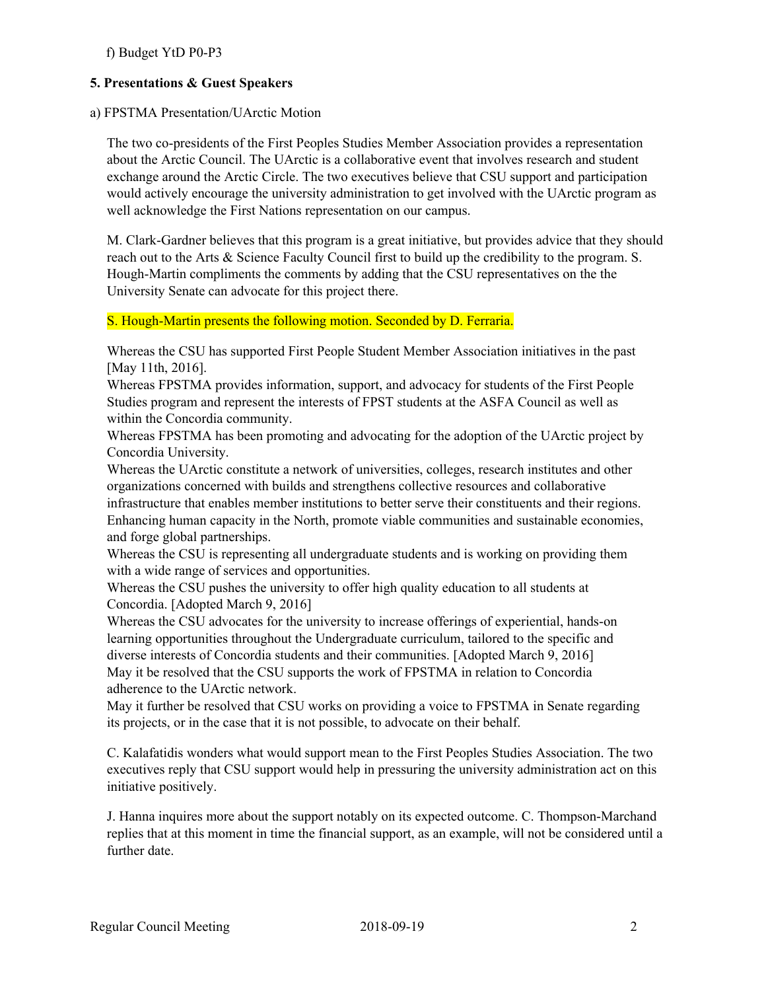f) Budget YtD P0-P3

# **5. Presentations & Guest Speakers**

### a) FPSTMA Presentation/UArctic Motion

The two co-presidents of the First Peoples Studies Member Association provides a representation about the Arctic Council. The UArctic is a collaborative event that involves research and student exchange around the Arctic Circle. The two executives believe that CSU support and participation would actively encourage the university administration to get involved with the UArctic program as well acknowledge the First Nations representation on our campus.

M. Clark-Gardner believes that this program is a great initiative, but provides advice that they should reach out to the Arts & Science Faculty Council first to build up the credibility to the program. S. Hough-Martin compliments the comments by adding that the CSU representatives on the the University Senate can advocate for this project there.

### S. Hough-Martin presents the following motion. Seconded by D. Ferraria.

Whereas the CSU has supported First People Student Member Association initiatives in the past [May 11th, 2016].

Whereas FPSTMA provides information, support, and advocacy for students of the First People Studies program and represent the interests of FPST students at the ASFA Council as well as within the Concordia community.

Whereas FPSTMA has been promoting and advocating for the adoption of the UArctic project by Concordia University.

Whereas the UArctic constitute a network of universities, colleges, research institutes and other organizations concerned with builds and strengthens collective resources and collaborative infrastructure that enables member institutions to better serve their constituents and their regions. Enhancing human capacity in the North, promote viable communities and sustainable economies, and forge global partnerships.

Whereas the CSU is representing all undergraduate students and is working on providing them with a wide range of services and opportunities.

Whereas the CSU pushes the university to offer high quality education to all students at Concordia. [Adopted March 9, 2016]

Whereas the CSU advocates for the university to increase offerings of experiential, hands-on learning opportunities throughout the Undergraduate curriculum, tailored to the specific and diverse interests of Concordia students and their communities. [Adopted March 9, 2016] May it be resolved that the CSU supports the work of FPSTMA in relation to Concordia adherence to the UArctic network.

May it further be resolved that CSU works on providing a voice to FPSTMA in Senate regarding its projects, or in the case that it is not possible, to advocate on their behalf.

C. Kalafatidis wonders what would support mean to the First Peoples Studies Association. The two executives reply that CSU support would help in pressuring the university administration act on this initiative positively.

J. Hanna inquires more about the support notably on its expected outcome. C. Thompson-Marchand replies that at this moment in time the financial support, as an example, will not be considered until a further date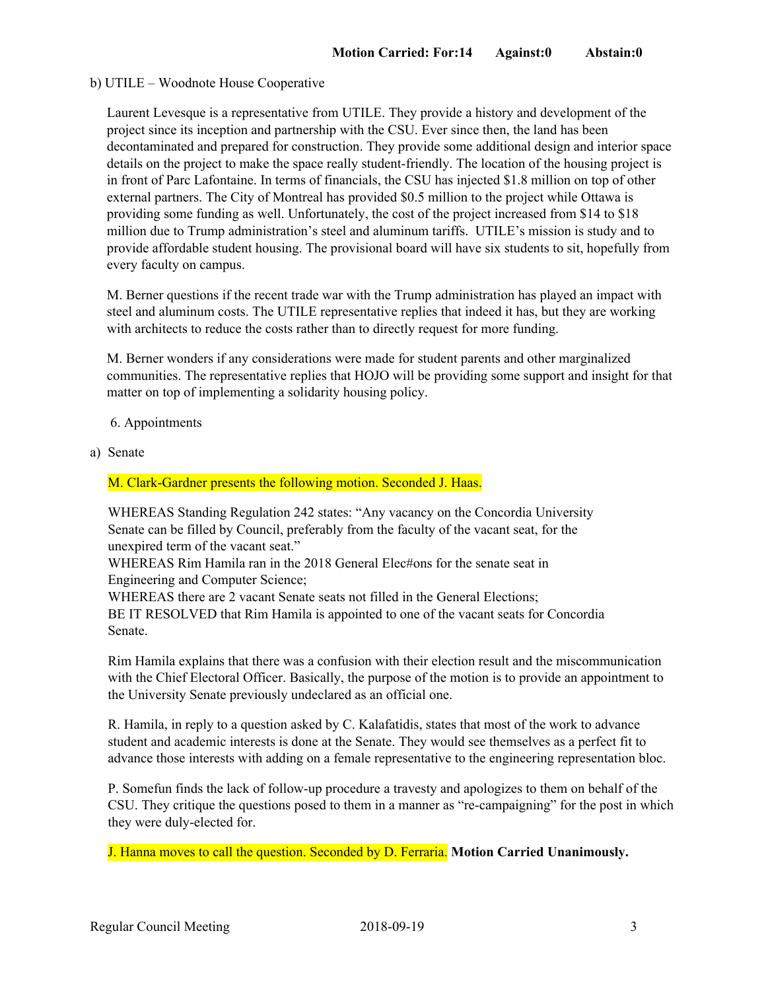#### b) UTILE – Woodnote House Cooperative

Laurent Levesque is a representative from UTILE. They provide a history and development of the project since its inception and partnership with the CSU. Ever since then, the land has been decontaminated and prepared for construction. They provide some additional design and interior space details on the project to make the space really student-friendly. The location of the housing project is in front of Parc Lafontaine. In terms of financials, the CSU has injected \$1.8 million on top of other external partners. The City of Montreal has provided \$0.5 million to the project while Ottawa is providing some funding as well. Unfortunately, the cost of the project increased from \$14 to \$18 million due to Trump administration's steel and aluminum tariffs. UTILE's mission is study and to provide affordable student housing. The provisional board will have six students to sit, hopefully from every faculty on campus.

M. Berner questions if the recent trade war with the Trump administration has played an impact with steel and aluminum costs. The UTILE representative replies that indeed it has, but they are working with architects to reduce the costs rather than to directly request for more funding.

M. Berner wonders if any considerations were made for student parents and other marginalized communities. The representative replies that HOJO will be providing some support and insight for that matter on top of implementing a solidarity housing policy.

- 6. Appointments
- a) Senate

#### M. Clark-Gardner presents the following motion. Seconded J. Haas.

WHEREAS Standing Regulation 242 states: "Any vacancy on the Concordia University Senate can be filled by Council, preferably from the faculty of the vacant seat, for the unexpired term of the vacant seat."

WHEREAS Rim Hamila ran in the 2018 General Elec#ons for the senate seat in Engineering and Computer Science;

WHEREAS there are 2 vacant Senate seats not filled in the General Elections; BE IT RESOLVED that Rim Hamila is appointed to one of the vacant seats for Concordia Senate.

Rim Hamila explains that there was a confusion with their election result and the miscommunication with the Chief Electoral Officer. Basically, the purpose of the motion is to provide an appointment to the University Senate previously undeclared as an official one.

R. Hamila, in reply to a question asked by C. Kalafatidis, states that most of the work to advance student and academic interests is done at the Senate. They would see themselves as a perfect fit to advance those interests with adding on a female representative to the engineering representation bloc.

P. Somefun finds the lack of follow-up procedure a travesty and apologizes to them on behalf of the CSU. They critique the questions posed to them in a manner as "re-campaigning" for the post in which they were duly-elected for.

J. Hanna moves to call the question. Seconded by D. Ferraria. **Motion Carried Unanimously.**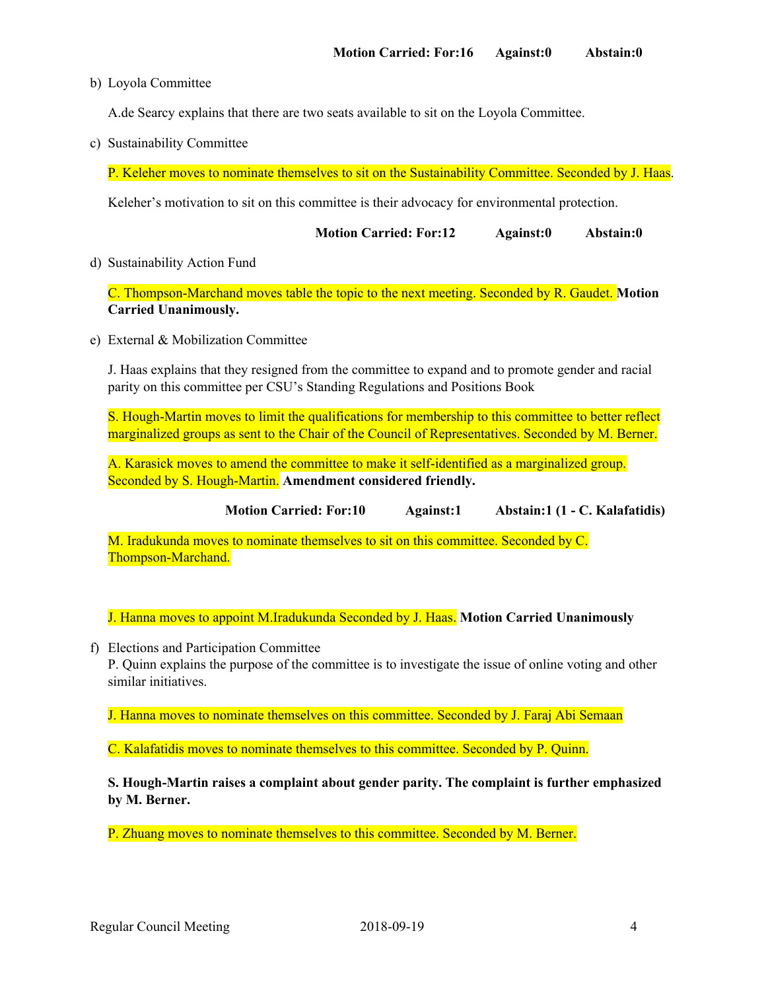b) Loyola Committee

A.de Searcy explains that there are two seats available to sit on the Loyola Committee.

c) Sustainability Committee

P. Keleher moves to nominate themselves to sit on the Sustainability Committee. Seconded by J. Haas.

Keleher's motivation to sit on this committee is their advocacy for environmental protection.

| <b>Motion Carried: For:12</b><br><b>Against:0</b> | Abstain:0 |
|---------------------------------------------------|-----------|
|---------------------------------------------------|-----------|

#### d) Sustainability Action Fund

C. Thompson-Marchand moves table the topic to the next meeting. Seconded by R. Gaudet. **Motion Carried Unanimously.**

e) External & Mobilization Committee

J. Haas explains that they resigned from the committee to expand and to promote gender and racial parity on this committee per CSU's Standing Regulations and Positions Book

S. Hough-Martin moves to limit the qualifications for membership to this committee to better reflect marginalized groups as sent to the Chair of the Council of Representatives. Seconded by M. Berner.

A. Karasick moves to amend the committee to make it self-identified as a marginalized group. Seconded by S. Hough-Martin. **Amendment considered friendly.**

**Motion Carried: For:10 Against:1 Abstain:1 (1 - C. Kalafatidis)**

M. Iradukunda moves to nominate themselves to sit on this committee. Seconded by C. Thompson-Marchand.

J. Hanna moves to appoint M.Iradukunda Seconded by J. Haas. **Motion Carried Unanimously**

f) Elections and Participation Committee

P. Quinn explains the purpose of the committee is to investigate the issue of online voting and other similar initiatives.

J. Hanna moves to nominate themselves on this committee. Seconded by J. Faraj Abi Semaan

C. Kalafatidis moves to nominate themselves to this committee. Seconded by P. Quinn.

**S. Hough-Martin raises a complaint about gender parity. The complaint is further emphasized by M. Berner.**

P. Zhuang moves to nominate themselves to this committee. Seconded by M. Berner.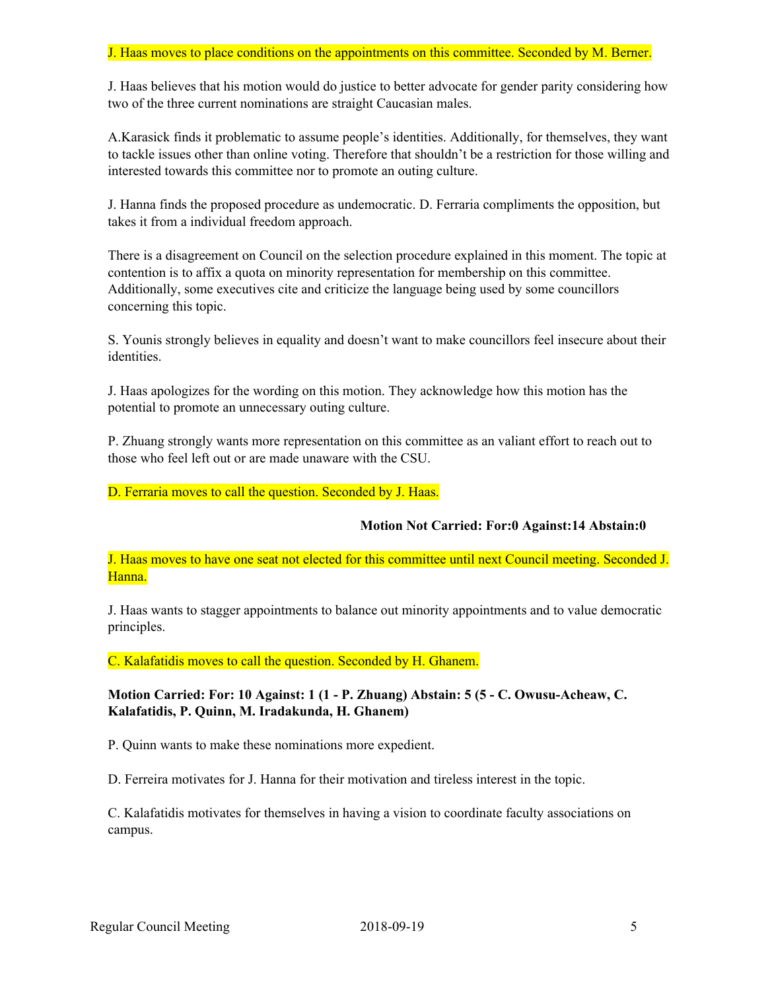### J. Haas moves to place conditions on the appointments on this committee. Seconded by M. Berner.

J. Haas believes that his motion would do justice to better advocate for gender parity considering how two of the three current nominations are straight Caucasian males.

A.Karasick finds it problematic to assume people's identities. Additionally, for themselves, they want to tackle issues other than online voting. Therefore that shouldn't be a restriction for those willing and interested towards this committee nor to promote an outing culture.

J. Hanna finds the proposed procedure as undemocratic. D. Ferraria compliments the opposition, but takes it from a individual freedom approach.

There is a disagreement on Council on the selection procedure explained in this moment. The topic at contention is to affix a quota on minority representation for membership on this committee. Additionally, some executives cite and criticize the language being used by some councillors concerning this topic.

S. Younis strongly believes in equality and doesn't want to make councillors feel insecure about their identities.

J. Haas apologizes for the wording on this motion. They acknowledge how this motion has the potential to promote an unnecessary outing culture.

P. Zhuang strongly wants more representation on this committee as an valiant effort to reach out to those who feel left out or are made unaware with the CSU.

D. Ferraria moves to call the question. Seconded by J. Haas.

### **Motion Not Carried: For:0 Against:14 Abstain:0**

J. Haas moves to have one seat not elected for this committee until next Council meeting. Seconded J. Hanna.

J. Haas wants to stagger appointments to balance out minority appointments and to value democratic principles.

C. Kalafatidis moves to call the question. Seconded by H. Ghanem.

**Motion Carried: For: 10 Against: 1 (1 - P. Zhuang) Abstain: 5 (5 - C. Owusu-Acheaw, C. Kalafatidis, P. Quinn, M. Iradakunda, H. Ghanem)**

P. Quinn wants to make these nominations more expedient.

D. Ferreira motivates for J. Hanna for their motivation and tireless interest in the topic.

C. Kalafatidis motivates for themselves in having a vision to coordinate faculty associations on campus.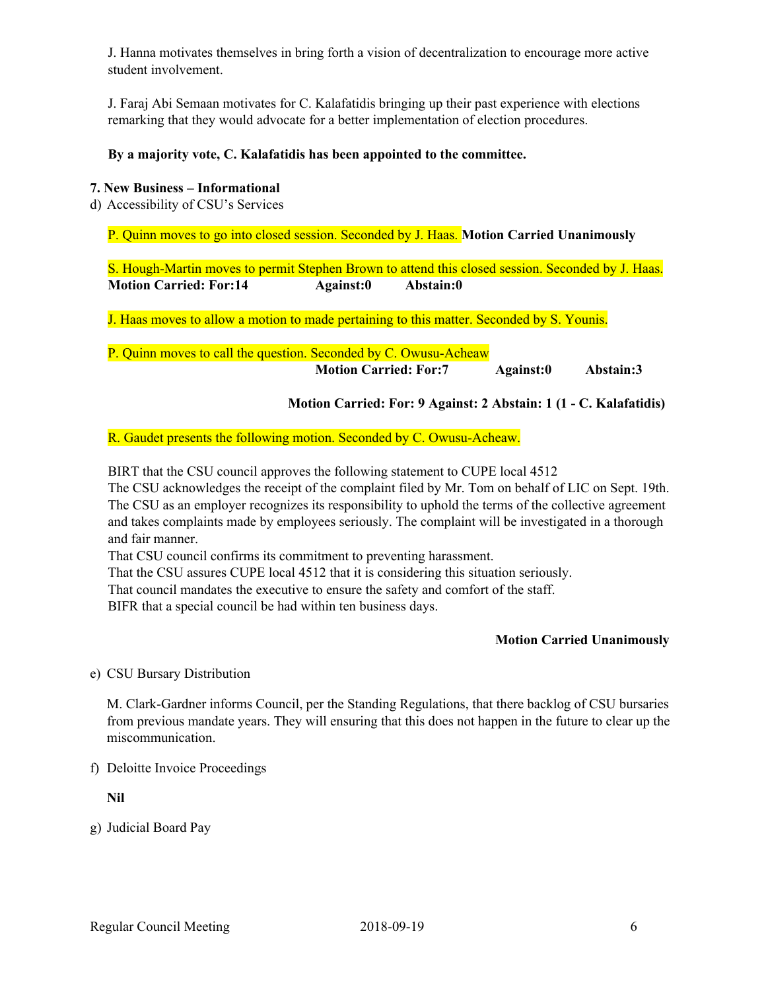J. Hanna motivates themselves in bring forth a vision of decentralization to encourage more active student involvement.

J. Faraj Abi Semaan motivates for C. Kalafatidis bringing up their past experience with elections remarking that they would advocate for a better implementation of election procedures.

### **By a majority vote, C. Kalafatidis has been appointed to the committee.**

### **7. New Business – Informational**

d) Accessibility of CSU's Services

P. Quinn moves to go into closed session. Seconded by J. Haas. **Motion Carried Unanimously**

S. Hough-Martin moves to permit Stephen Brown to attend this closed session. Seconded by J. Haas. **Motion Carried: For:14 Against:0 Abstain:0**

J. Haas moves to allow a motion to made pertaining to this matter. Seconded by S. Younis.

P. Quinn moves to call the question. Seconded by C. Owusu-Acheaw **Motion Carried: For:7 Against:0 Abstain:3**

**Motion Carried: For: 9 Against: 2 Abstain: 1 (1 - C. Kalafatidis)**

### R. Gaudet presents the following motion. Seconded by C. Owusu-Acheaw.

BIRT that the CSU council approves the following statement to CUPE local 4512

The CSU acknowledges the receipt of the complaint filed by Mr. Tom on behalf of LIC on Sept. 19th. The CSU as an employer recognizes its responsibility to uphold the terms of the collective agreement and takes complaints made by employees seriously. The complaint will be investigated in a thorough and fair manner.

That CSU council confirms its commitment to preventing harassment.

That the CSU assures CUPE local 4512 that it is considering this situation seriously.

That council mandates the executive to ensure the safety and comfort of the staff.

BIFR that a special council be had within ten business days.

# **Motion Carried Unanimously**

e) CSU Bursary Distribution

M. Clark-Gardner informs Council, per the Standing Regulations, that there backlog of CSU bursaries from previous mandate years. They will ensuring that this does not happen in the future to clear up the miscommunication.

f) Deloitte Invoice Proceedings

**Nil**

g) Judicial Board Pay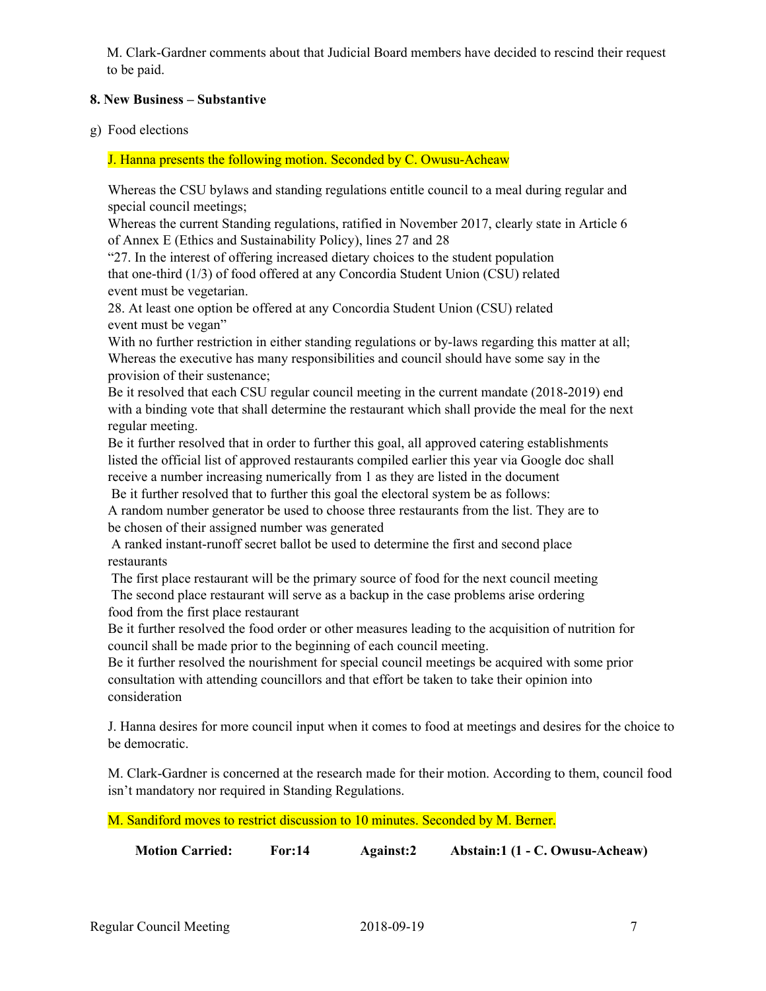M. Clark-Gardner comments about that Judicial Board members have decided to rescind their request to be paid.

# **8. New Business – Substantive**

g) Food elections

J. Hanna presents the following motion. Seconded by C. Owusu-Acheaw

Whereas the CSU bylaws and standing regulations entitle council to a meal during regular and special council meetings;

Whereas the current Standing regulations, ratified in November 2017, clearly state in Article 6 of Annex E (Ethics and Sustainability Policy), lines 27 and 28

"27. In the interest of offering increased dietary choices to the student population that one-third (1/3) of food offered at any Concordia Student Union (CSU) related event must be vegetarian.

28. At least one option be offered at any Concordia Student Union (CSU) related event must be vegan"

With no further restriction in either standing regulations or by-laws regarding this matter at all; Whereas the executive has many responsibilities and council should have some say in the provision of their sustenance;

Be it resolved that each CSU regular council meeting in the current mandate (2018-2019) end with a binding vote that shall determine the restaurant which shall provide the meal for the next regular meeting.

Be it further resolved that in order to further this goal, all approved catering establishments listed the official list of approved restaurants compiled earlier this year via Google doc shall receive a number increasing numerically from 1 as they are listed in the document

Be it further resolved that to further this goal the electoral system be as follows:

A random number generator be used to choose three restaurants from the list. They are to be chosen of their assigned number was generated

A ranked instant-runoff secret ballot be used to determine the first and second place restaurants

The first place restaurant will be the primary source of food for the next council meeting The second place restaurant will serve as a backup in the case problems arise ordering food from the first place restaurant

Be it further resolved the food order or other measures leading to the acquisition of nutrition for council shall be made prior to the beginning of each council meeting.

Be it further resolved the nourishment for special council meetings be acquired with some prior consultation with attending councillors and that effort be taken to take their opinion into consideration

J. Hanna desires for more council input when it comes to food at meetings and desires for the choice to be democratic.

M. Clark-Gardner is concerned at the research made for their motion. According to them, council food isn't mandatory nor required in Standing Regulations.

M. Sandiford moves to restrict discussion to 10 minutes. Seconded by M. Berner.

**Motion Carried: For:14 Against:2 Abstain:1 (1 - C. Owusu-Acheaw)**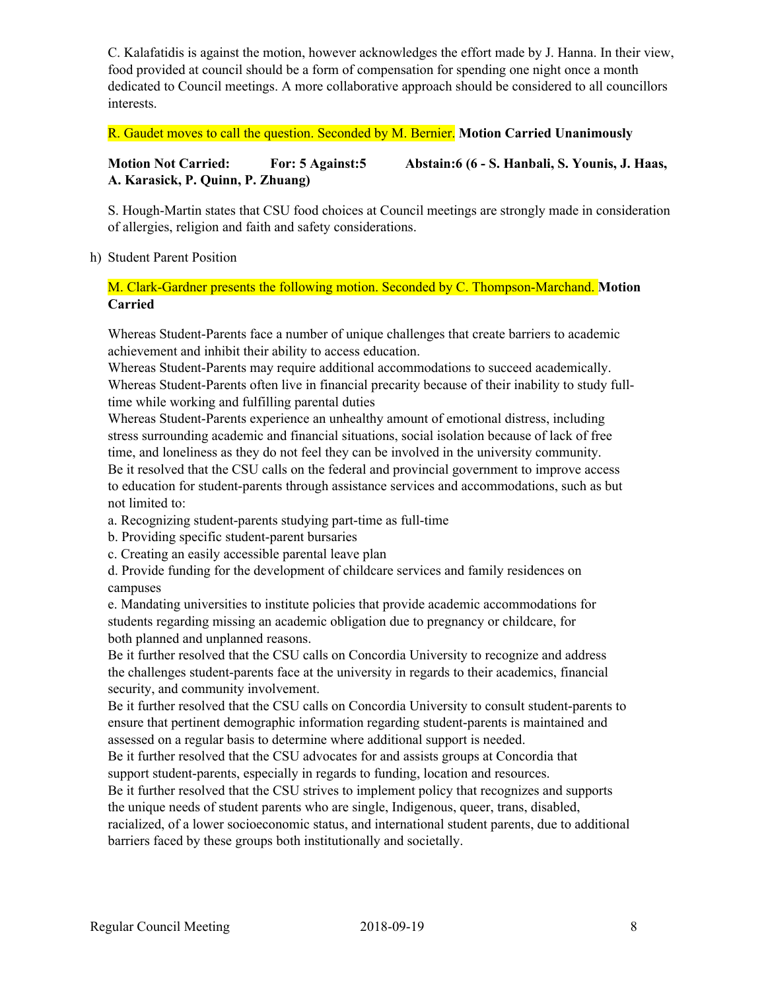C. Kalafatidis is against the motion, however acknowledges the effort made by J. Hanna. In their view, food provided at council should be a form of compensation for spending one night once a month dedicated to Council meetings. A more collaborative approach should be considered to all councillors interests.

R. Gaudet moves to call the question. Seconded by M. Bernier. **Motion Carried Unanimously**

# **Motion Not Carried: For: 5 Against:5 Abstain:6 (6 - S. Hanbali, S. Younis, J. Haas, A. Karasick, P. Quinn, P. Zhuang)**

S. Hough-Martin states that CSU food choices at Council meetings are strongly made in consideration of allergies, religion and faith and safety considerations.

h) Student Parent Position

M. Clark-Gardner presents the following motion. Seconded by C. Thompson-Marchand. **Motion Carried**

Whereas Student-Parents face a number of unique challenges that create barriers to academic achievement and inhibit their ability to access education.

Whereas Student-Parents may require additional accommodations to succeed academically. Whereas Student-Parents often live in financial precarity because of their inability to study fulltime while working and fulfilling parental duties

Whereas Student-Parents experience an unhealthy amount of emotional distress, including stress surrounding academic and financial situations, social isolation because of lack of free time, and loneliness as they do not feel they can be involved in the university community. Be it resolved that the CSU calls on the federal and provincial government to improve access to education for student-parents through assistance services and accommodations, such as but not limited to:

- a. Recognizing student-parents studying part-time as full-time
- b. Providing specific student-parent bursaries
- c. Creating an easily accessible parental leave plan

d. Provide funding for the development of childcare services and family residences on campuses

e. Mandating universities to institute policies that provide academic accommodations for students regarding missing an academic obligation due to pregnancy or childcare, for both planned and unplanned reasons.

Be it further resolved that the CSU calls on Concordia University to recognize and address the challenges student-parents face at the university in regards to their academics, financial security, and community involvement.

Be it further resolved that the CSU calls on Concordia University to consult student-parents to ensure that pertinent demographic information regarding student-parents is maintained and assessed on a regular basis to determine where additional support is needed.

Be it further resolved that the CSU advocates for and assists groups at Concordia that support student-parents, especially in regards to funding, location and resources.

Be it further resolved that the CSU strives to implement policy that recognizes and supports the unique needs of student parents who are single, Indigenous, queer, trans, disabled,

racialized, of a lower socioeconomic status, and international student parents, due to additional barriers faced by these groups both institutionally and societally.